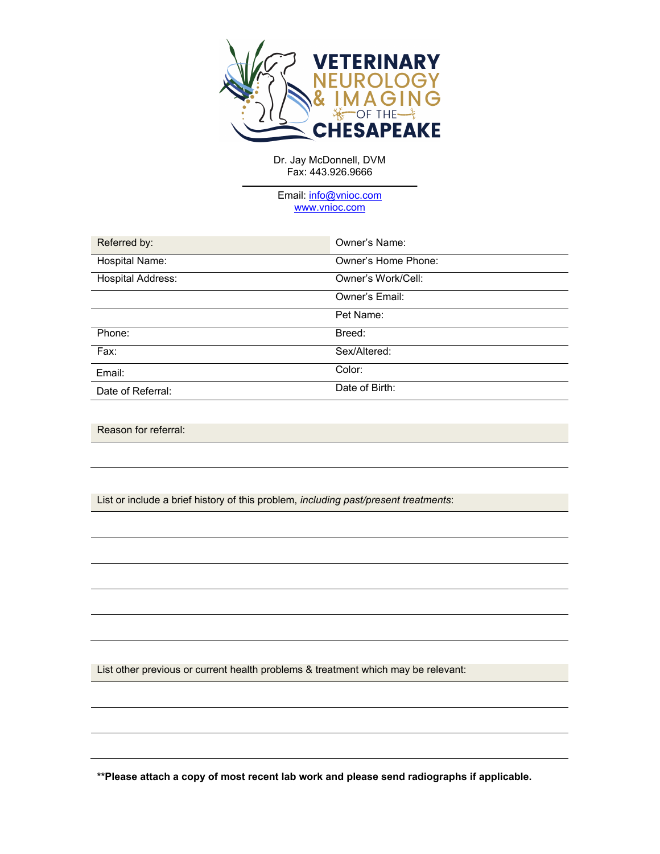

Dr. Jay McDonnell, DVM Fax: 443.926.9666

Email: info@[vnioc.com](mailto:info@vetneurochesapeake.com) [www.v](http://www.vetneurochesapeake.com/)nioc.com

| Referred by:             | Owner's Name:       |
|--------------------------|---------------------|
| Hospital Name:           | Owner's Home Phone: |
| <b>Hospital Address:</b> | Owner's Work/Cell:  |
|                          | Owner's Email:      |
|                          | Pet Name:           |
| Phone:                   | Breed:              |
| $Fax$ :                  | Sex/Altered:        |
| Email:                   | Color:              |
| Date of Referral:        | Date of Birth:      |

Reason for referral:

List or include a brief history of this problem, *including past/present treatments*:

List other previous or current health problems & treatment which may be relevant:

**\*\*Please attach a copy of most recent lab work and please send radiographs if applicable.**